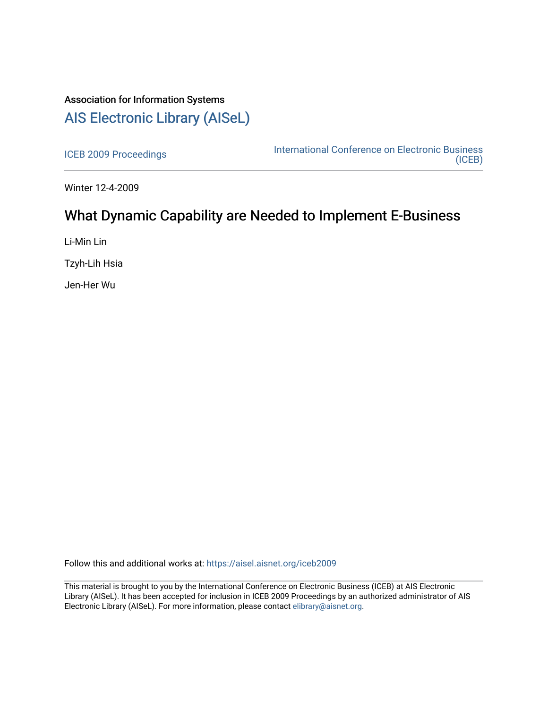# Association for Information Systems [AIS Electronic Library \(AISeL\)](https://aisel.aisnet.org/)

[ICEB 2009 Proceedings](https://aisel.aisnet.org/iceb2009) **International Conference on Electronic Business** [\(ICEB\)](https://aisel.aisnet.org/iceb) 

Winter 12-4-2009

# What Dynamic Capability are Needed to Implement E-Business

Li-Min Lin

Tzyh-Lih Hsia

Jen-Her Wu

Follow this and additional works at: [https://aisel.aisnet.org/iceb2009](https://aisel.aisnet.org/iceb2009?utm_source=aisel.aisnet.org%2Ficeb2009%2F28&utm_medium=PDF&utm_campaign=PDFCoverPages)

This material is brought to you by the International Conference on Electronic Business (ICEB) at AIS Electronic Library (AISeL). It has been accepted for inclusion in ICEB 2009 Proceedings by an authorized administrator of AIS Electronic Library (AISeL). For more information, please contact [elibrary@aisnet.org.](mailto:elibrary@aisnet.org%3E)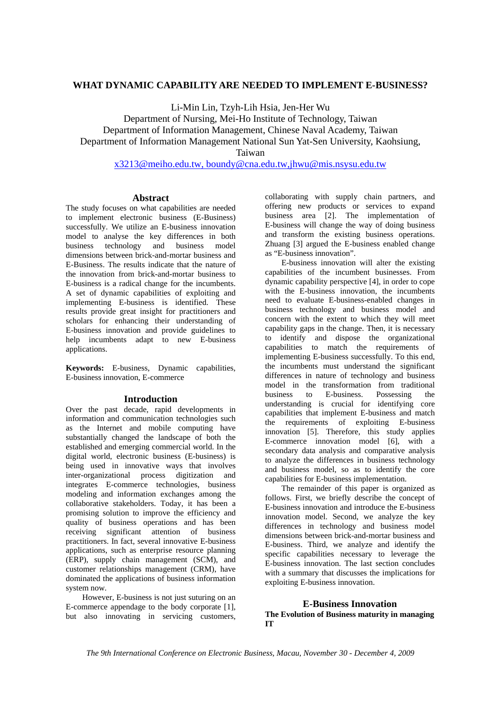# **WHAT DYNAMIC CAPABILITY ARE NEEDED TO IMPLEMENT E-BUSINESS?**

Li-Min Lin, Tzyh-Lih Hsia, Jen-Her Wu

Department of Nursing, Mei-Ho Institute of Technology, Taiwan Department of Information Management, Chinese Naval Academy, Taiwan

Department of Information Management National Sun Yat-Sen University, Kaohsiung,

Taiwan

x3213@meiho.edu.tw, boundy@cna.edu.tw,jhwu@mis.nsysu.edu.tw

# **Abstract**

The study focuses on what capabilities are needed to implement electronic business (E-Business) successfully. We utilize an E-business innovation model to analyse the key differences in both business technology and business model dimensions between brick-and-mortar business and E-Business. The results indicate that the nature of the innovation from brick-and-mortar business to E-business is a radical change for the incumbents. A set of dynamic capabilities of exploiting and implementing E-business is identified. These results provide great insight for practitioners and scholars for enhancing their understanding of E-business innovation and provide guidelines to help incumbents adapt to new E-business applications.

**Keywords:** E-business, Dynamic capabilities, E-business innovation, E-commerce

# **Introduction**

Over the past decade, rapid developments in information and communication technologies such as the Internet and mobile computing have substantially changed the landscape of both the established and emerging commercial world. In the digital world, electronic business (E-business) is being used in innovative ways that involves inter-organizational process digitization and integrates E-commerce technologies, business modeling and information exchanges among the collaborative stakeholders. Today, it has been a promising solution to improve the efficiency and quality of business operations and has been receiving significant attention of business practitioners. In fact, several innovative E-business applications, such as enterprise resource planning (ERP), supply chain management (SCM), and customer relationships management (CRM), have dominated the applications of business information system now.

However, E-business is not just suturing on an E-commerce appendage to the body corporate [1], but also innovating in servicing customers,

collaborating with supply chain partners, and offering new products or services to expand business area [2]. The implementation of E-business will change the way of doing business and transform the existing business operations. Zhuang [3] argued the E-business enabled change as "E-business innovation".

E-business innovation will alter the existing capabilities of the incumbent businesses. From dynamic capability perspective [4], in order to cope with the E-business innovation, the incumbents need to evaluate E-business-enabled changes in business technology and business model and concern with the extent to which they will meet capability gaps in the change. Then, it is necessary to identify and dispose the organizational capabilities to match the requirements of implementing E-business successfully. To this end, the incumbents must understand the significant differences in nature of technology and business model in the transformation from traditional business to E-business. Possessing the understanding is crucial for identifying core capabilities that implement E-business and match the requirements of exploiting E-business innovation [5]. Therefore, this study applies E-commerce innovation model [6], with a secondary data analysis and comparative analysis to analyze the differences in business technology and business model, so as to identify the core capabilities for E-business implementation.

The remainder of this paper is organized as follows. First, we briefly describe the concept of E-business innovation and introduce the E-business innovation model. Second, we analyze the key differences in technology and business model dimensions between brick-and-mortar business and E-business. Third, we analyze and identify the specific capabilities necessary to leverage the E-business innovation. The last section concludes with a summary that discusses the implications for exploiting E-business innovation.

# **E-Business Innovation The Evolution of Business maturity in managing IT**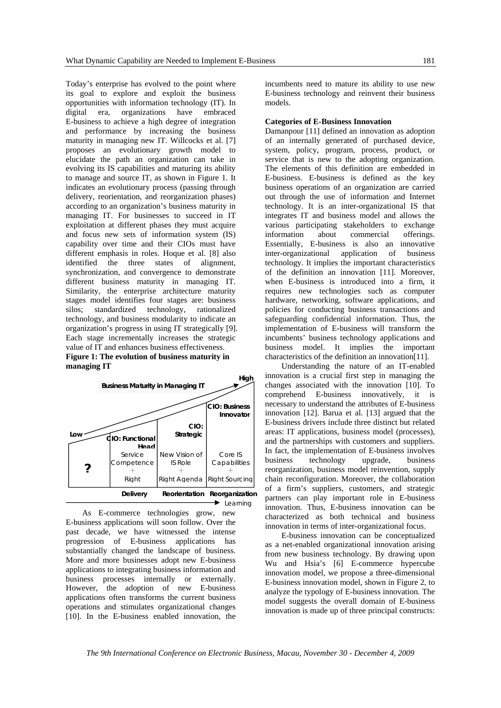Today's enterprise has evolved to the point where its goal to explore and exploit the business opportunities with information technology (IT). In digital era, organizations have embraced E-business to achieve a high degree of integration and performance by increasing the business maturity in managing new IT. Willcocks et al. [7] proposes an evolutionary growth model to elucidate the path an organization can take in evolving its IS capabilities and maturing its ability to manage and source IT, as shown in Figure 1. It indicates an evolutionary process (passing through delivery, reorientation, and reorganization phases) according to an organization's business maturity in managing IT. For businesses to succeed in IT exploitation at different phases they must acquire and focus new sets of information system (IS) capability over time and their CIOs must have different emphasis in roles. Hoque et al. [8] also identified the three states of alignment, synchronization, and convergence to demonstrate different business maturity in managing IT. Similarity, the enterprise architecture maturity stages model identifies four stages are: business silos; standardized technology, rationalized technology, and business modularity to indicate an organization's progress in using IT strategically [9]. Each stage incrementally increases the strategic value of IT and enhances business effectiveness. **Figure 1: The evolution of business maturity in** 



As E-commerce technologies grow, new E-business applications will soon follow. Over the past decade, we have witnessed the intense progression of E-business applications has substantially changed the landscape of business. More and more businesses adopt new E-business applications to integrating business information and business processes internally or externally. However, the adoption of new E-business applications often transforms the current business operations and stimulates organizational changes [10]. In the E-business enabled innovation, the

incumbents need to mature its ability to use new E-business technology and reinvent their business models.

#### **Categories of E-Business Innovation**

Damanpour [11] defined an innovation as adoption of an internally generated of purchased device, system, policy, program, process, product, or service that is new to the adopting organization. The elements of this definition are embedded in E-business. E-business is defined as the key business operations of an organization are carried out through the use of information and Internet technology. It is an inter-organizational IS that integrates IT and business model and allows the various participating stakeholders to exchange information about commercial offerings. Essentially, E-business is also an innovative inter-organizational application of business technology. It implies the important characteristics of the definition an innovation [11]. Moreover, when E-business is introduced into a firm, it requires new technologies such as computer hardware, networking, software applications, and policies for conducting business transactions and safeguarding confidential information. Thus, the implementation of E-business will transform the incumbents' business technology applications and business model. It implies the important characteristics of the definition an innovation[11].

Understanding the nature of an IT-enabled innovation is a crucial first step in managing the changes associated with the innovation [10]. To comprehend E-business innovatively, it is necessary to understand the attributes of E-business innovation [12]. Barua et al. [13] argued that the E-business drivers include three distinct but related areas: IT applications, business model (processes), and the partnerships with customers and suppliers. In fact, the implementation of E-business involves business technology upgrade, business reorganization, business model reinvention, supply chain reconfiguration. Moreover, the collaboration of a firm's suppliers, customers, and strategic partners can play important role in E-business innovation. Thus, E-business innovation can be characterized as both technical and business innovation in terms of inter-organizational focus.

E-business innovation can be conceptualized as a net-enabled organizational innovation arising from new business technology. By drawing upon Wu and Hsia's [6] E-commerce hypercube innovation model, we propose a three-dimensional E-business innovation model, shown in Figure 2, to analyze the typology of E-business innovation. The model suggests the overall domain of E-business innovation is made up of three principal constructs:

*The 9th International Conference on Electronic Business, Macau, November 30 - December 4, 2009*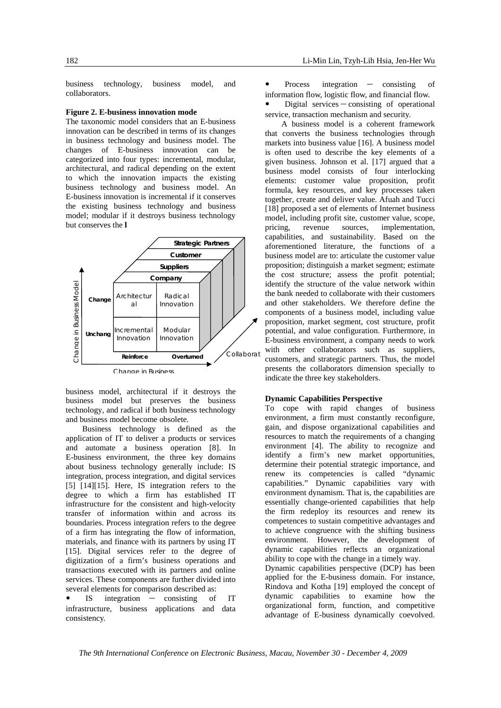business technology, business model, and collaborators.

## **Figure 2. E-business innovation mode**

The taxonomic model considers that an E-business innovation can be described in terms of its changes in business technology and business model. The changes of E-business innovation can be categorized into four types: incremental, modular, architectural, and radical depending on the extent to which the innovation impacts the existing business technology and business model. An E-business innovation is incremental if it conserves the existing business technology and business model; modular if it destroys business technology but conserves the **l** 



business model, architectural if it destroys the business model but preserves the business technology, and radical if both business technology and business model become obsolete.

Business technology is defined as the application of IT to deliver a products or services and automate a business operation [8]. In E-business environment, the three key domains about business technology generally include: IS integration, process integration, and digital services [5] [14][15]. Here, IS integration refers to the degree to which a firm has established IT infrastructure for the consistent and high-velocity transfer of information within and across its boundaries. Process integration refers to the degree of a firm has integrating the flow of information, materials, and finance with its partners by using IT [15]. Digital services refer to the degree of digitization of a firm's business operations and transactions executed with its partners and online services. These components are further divided into several elements for comparison described as:

 $IS$  integration  $-$  consisting of IT infrastructure, business applications and data consistency.

Process integration - consisting of information flow, logistic flow, and financial flow.

Digital services - consisting of operational service, transaction mechanism and security.

A business model is a coherent framework that converts the business technologies through markets into business value [16]. A business model is often used to describe the key elements of a given business. Johnson et al. [17] argued that a business model consists of four interlocking elements: customer value proposition, profit formula, key resources, and key processes taken together, create and deliver value. Afuah and Tucci [18] proposed a set of elements of Internet business model, including profit site, customer value, scope, pricing, revenue sources, implementation, capabilities, and sustainability. Based on the aforementioned literature, the functions of a business model are to: articulate the customer value proposition; distinguish a market segment; estimate the cost structure; assess the profit potential; identify the structure of the value network within the bank needed to collaborate with their customers and other stakeholders. We therefore define the components of a business model, including value proposition, market segment, cost structure, profit potential, and value configuration. Furthermore, in E-business environment, a company needs to work with other collaborators such as suppliers, customers, and strategic partners. Thus, the model presents the collaborators dimension specially to indicate the three key stakeholders.

## **Dynamic Capabilities Perspective**

To cope with rapid changes of business environment, a firm must constantly reconfigure, gain, and dispose organizational capabilities and resources to match the requirements of a changing environment [4]. The ability to recognize and identify a firm's new market opportunities, determine their potential strategic importance, and renew its competencies is called "dynamic capabilities." Dynamic capabilities vary with environment dynamism. That is, the capabilities are essentially change-oriented capabilities that help the firm redeploy its resources and renew its competences to sustain competitive advantages and to achieve congruence with the shifting business environment. However, the development of dynamic capabilities reflects an organizational ability to cope with the change in a timely way.

Dynamic capabilities perspective (DCP) has been applied for the E-business domain. For instance, Rindova and Kotha [19] employed the concept of dynamic capabilities to examine how the organizational form, function, and competitive advantage of E-business dynamically coevolved.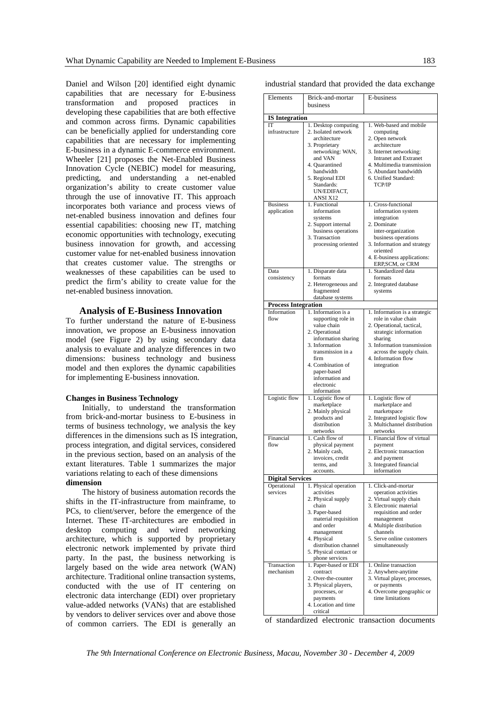Daniel and Wilson [20] identified eight dynamic capabilities that are necessary for E-business transformation and proposed practices in developing these capabilities that are both effective and common across firms. Dynamic capabilities can be beneficially applied for understanding core capabilities that are necessary for implementing E-business in a dynamic E-commerce environment. Wheeler [21] proposes the Net-Enabled Business Innovation Cycle (NEBIC) model for measuring, predicting, and understanding a net-enabled organization's ability to create customer value through the use of innovative IT. This approach incorporates both variance and process views of net-enabled business innovation and defines four essential capabilities: choosing new IT, matching economic opportunities with technology, executing business innovation for growth, and accessing customer value for net-enabled business innovation that creates customer value. The strengths or weaknesses of these capabilities can be used to predict the firm's ability to create value for the net-enabled business innovation.

## **Analysis of E-Business Innovation**

To further understand the nature of E-business innovation, we propose an E-business innovation model (see Figure 2) by using secondary data analysis to evaluate and analyze differences in two dimensions: business technology and business model and then explores the dynamic capabilities for implementing E-business innovation.

#### **Changes in Business Technology**

Initially, to understand the transformation from brick-and-mortar business to E-business in terms of business technology, we analysis the key differences in the dimensions such as IS integration, process integration, and digital services, considered in the previous section, based on an analysis of the extant literatures. Table 1 summarizes the major variations relating to each of these dimensions **dimension** 

The history of business automation records the shifts in the IT-infrastructure from mainframe, to PCs, to client/server, before the emergence of the Internet. These IT-architectures are embodied in desktop computing and wired networking architecture, which is supported by proprietary electronic network implemented by private third party. In the past, the business networking is largely based on the wide area network (WAN) architecture. Traditional online transaction systems, conducted with the use of IT centering on electronic data interchange (EDI) over proprietary value-added networks (VANs) that are established by vendors to deliver services over and above those of common carriers. The EDI is generally an industrial standard that provided the data exchange

| Elements                   | Brick-and-mortar                    | E-business                                        |
|----------------------------|-------------------------------------|---------------------------------------------------|
|                            | business                            |                                                   |
|                            |                                     |                                                   |
| <b>IS</b> Integration      |                                     |                                                   |
| IТ                         | 1. Desktop computing                | 1. Web-based and mobile                           |
| infrastructure             | 2. Isolated network                 | computing                                         |
|                            | architecture                        | 2. Open network                                   |
|                            | 3. Proprietary                      | architecture                                      |
|                            | networking: WAN,                    | 3. Internet networking:                           |
|                            | and VAN                             | Intranet and Extranet                             |
|                            | 4. Quarantined                      | 4. Multimedia transmission                        |
|                            | bandwidth                           | 5. Abundant bandwidth                             |
|                            | 5. Regional EDI                     | 6. Unified Standard:                              |
|                            | Standards:                          | TCP/IP                                            |
|                            | UN/EDIFACT,                         |                                                   |
| <b>Business</b>            | ANSI X12<br>1. Functional           | 1. Cross-functional                               |
| application                | information                         | information system                                |
|                            | systems                             | integration                                       |
|                            | 2. Support internal                 | 2. Dominate                                       |
|                            | business operations                 | inter-organization                                |
|                            | 3. Transaction                      | business operations                               |
|                            | processing oriented                 | 3. Information and strategy                       |
|                            |                                     | oriented                                          |
|                            |                                     | 4. E-business applications:                       |
|                            |                                     | ERP, SCM, or CRM                                  |
| Data                       | 1. Disparate data                   | 1. Standardized data                              |
| consistency                | formats                             | formats                                           |
|                            | 2. Heterogeneous and                | 2. Integrated database                            |
|                            | fragmented                          | systems                                           |
|                            | database systems                    |                                                   |
| <b>Process Integration</b> |                                     |                                                   |
| Information                | 1. Information is a                 | 1. Information is a strategic                     |
| flow                       | supporting role in                  | role in value chain                               |
|                            | value chain                         | 2. Operational, tactical,                         |
|                            | 2. Operational                      | strategic information                             |
|                            | information sharing                 | sharing                                           |
|                            | 3. Information<br>transmission in a | 3. Information transmission                       |
|                            | firm                                | across the supply chain.<br>4. Information flow   |
|                            | 4. Combination of                   | integration                                       |
|                            | paper-based                         |                                                   |
|                            | information and                     |                                                   |
|                            | electronic                          |                                                   |
|                            | information                         |                                                   |
| Logistic flow              | 1. Logistic flow of                 | 1. Logistic flow of                               |
|                            | marketplace                         | marketplace and                                   |
|                            | 2. Mainly physical                  | marketspace                                       |
|                            | products and                        | 2. Integrated logistic flow                       |
|                            | distribution                        | 3. Multichannel distribution                      |
|                            | networks                            | networks                                          |
| Financial                  | 1. Cash flow of                     | 1. Financial flow of virtual                      |
| flow                       | physical payment                    | payment                                           |
|                            | 2. Mainly cash,                     | 2. Electronic transaction                         |
|                            | invoices, credit<br>terms, and      | and payment<br>3. Integrated financial            |
|                            | accounts.                           | information                                       |
|                            |                                     |                                                   |
| <b>Digital Services</b>    |                                     |                                                   |
| Operational<br>services    | 1. Physical operation<br>activities | 1. Click-and-mortar                               |
|                            | 2. Physical supply                  | operation activities                              |
|                            | chain                               | 2. Virtual supply chain<br>3. Electronic material |
|                            | 3. Paper-based                      | requisition and order                             |
|                            | material requisition                | management                                        |
|                            | and order                           | 4. Multiple distribution                          |
|                            | management                          | channels                                          |
|                            | 4. Physical                         | 5. Serve online customers                         |
|                            | distribution channel                | simultaneously                                    |
|                            | 5. Physical contact or              |                                                   |
|                            | phone services                      |                                                   |
| Transaction                | 1. Paper-based or EDI               | 1. Online transaction                             |
| mechanism                  | contract                            | 2. Anywhere-anytime                               |
|                            | 2. Over-the-counter                 | 3. Virtual player, processes,                     |
|                            | 3. Physical players,                | or payments                                       |
|                            | processes, or                       | 4. Overcome geographic or                         |
|                            | payments                            | time limitations                                  |
|                            | 4. Location and time                |                                                   |
|                            | critical                            |                                                   |

of standardized electronic transaction documents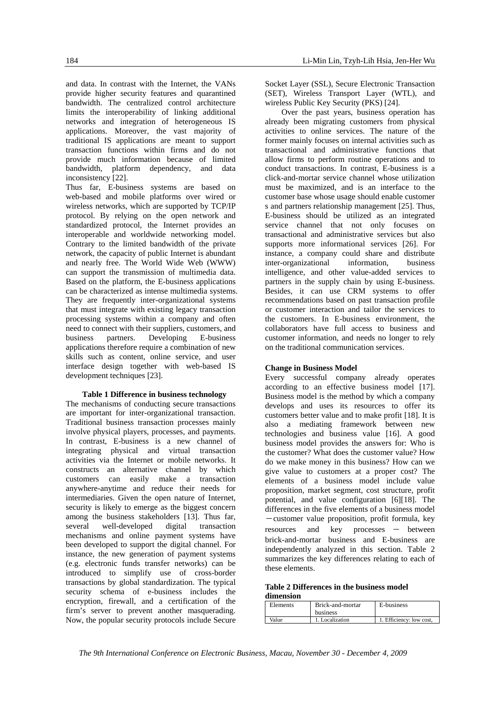and data. In contrast with the Internet, the VANs provide higher security features and quarantined bandwidth. The centralized control architecture limits the interoperability of linking additional networks and integration of heterogeneous IS applications. Moreover, the vast majority of traditional IS applications are meant to support transaction functions within firms and do not provide much information because of limited bandwidth, platform dependency, and data inconsistency [22].

Thus far, E-business systems are based on web-based and mobile platforms over wired or wireless networks, which are supported by TCP/IP protocol. By relying on the open network and standardized protocol, the Internet provides an interoperable and worldwide networking model. Contrary to the limited bandwidth of the private network, the capacity of public Internet is abundant and nearly free. The World Wide Web (WWW) can support the transmission of multimedia data. Based on the platform, the E-business applications can be characterized as intense multimedia systems. They are frequently inter-organizational systems that must integrate with existing legacy transaction processing systems within a company and often need to connect with their suppliers, customers, and business partners. Developing E-business applications therefore require a combination of new skills such as content, online service, and user interface design together with web-based IS development techniques [23].

# **Table 1 Difference in business technology**

The mechanisms of conducting secure transactions are important for inter-organizational transaction. Traditional business transaction processes mainly involve physical players, processes, and payments. In contrast, E-business is a new channel of integrating physical and virtual transaction activities via the Internet or mobile networks. It constructs an alternative channel by which customers can easily make a transaction anywhere-anytime and reduce their needs for intermediaries. Given the open nature of Internet, security is likely to emerge as the biggest concern among the business stakeholders [13]. Thus far, several well-developed digital transaction mechanisms and online payment systems have been developed to support the digital channel. For instance, the new generation of payment systems (e.g. electronic funds transfer networks) can be introduced to simplify use of cross-border transactions by global standardization. The typical security schema of e-business includes the encryption, firewall, and a certification of the firm's server to prevent another masquerading. Now, the popular security protocols include Secure

Socket Layer (SSL), Secure Electronic Transaction (SET), Wireless Transport Layer (WTL), and wireless Public Key Security (PKS) [24].

Over the past years, business operation has already been migrating customers from physical activities to online services. The nature of the former mainly focuses on internal activities such as transactional and administrative functions that allow firms to perform routine operations and to conduct transactions. In contrast, E-business is a click-and-mortar service channel whose utilization must be maximized, and is an interface to the customer base whose usage should enable customer s and partners relationship management [25]. Thus, E-business should be utilized as an integrated service channel that not only focuses on transactional and administrative services but also supports more informational services [26]. For instance, a company could share and distribute inter-organizational information, business intelligence, and other value-added services to partners in the supply chain by using E-business. Besides, it can use CRM systems to offer recommendations based on past transaction profile or customer interaction and tailor the services to the customers. In E-business environment, the collaborators have full access to business and customer information, and needs no longer to rely on the traditional communication services.

# **Change in Business Model**

Every successful company already operates according to an effective business model [17]. Business model is the method by which a company develops and uses its resources to offer its customers better value and to make profit [18]. It is also a mediating framework between new technologies and business value [16]. A good business model provides the answers for: Who is the customer? What does the customer value? How do we make money in this business? How can we give value to customers at a proper cost? The elements of a business model include value proposition, market segment, cost structure, profit potential, and value configuration [6][18]. The differences in the five elements of a business model -customer value proposition, profit formula, key resources and key processes – between brick-and-mortar business and E-business are independently analyzed in this section. Table 2 summarizes the key differences relating to each of these elements.

**Table 2 Differences in the business model dimension** 

| ---------------- |                  |                          |
|------------------|------------------|--------------------------|
| Elements         | Brick-and-mortar | E-business               |
|                  | <b>business</b>  |                          |
| Value            | 1. Localization  | 1. Efficiency: low cost. |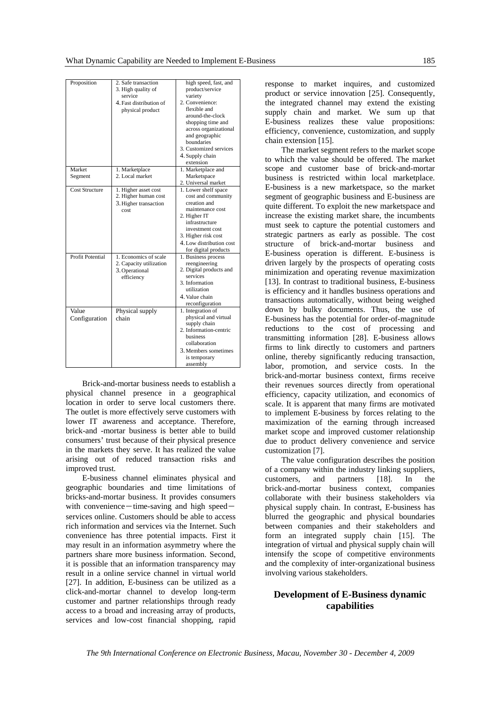| Proposition           | 2. Safe transaction<br>3. High quality of<br>service<br>4. Fast distribution of<br>physical product | high speed, fast, and<br>product/service<br>variety<br>2. Convenience:<br>flexible and<br>around-the-clock<br>shopping time and<br>across organizational<br>and geographic<br>boundaries<br>3. Customized services<br>4. Supply chain<br>extension |
|-----------------------|-----------------------------------------------------------------------------------------------------|----------------------------------------------------------------------------------------------------------------------------------------------------------------------------------------------------------------------------------------------------|
| Market                | 1. Marketplace                                                                                      | 1. Marketplace and                                                                                                                                                                                                                                 |
| Segment               | 2. Local market                                                                                     | Marketspace                                                                                                                                                                                                                                        |
|                       |                                                                                                     | 2. Universal market                                                                                                                                                                                                                                |
| <b>Cost Structure</b> | 1. Higher asset cost                                                                                | 1. Lower shelf space                                                                                                                                                                                                                               |
|                       | 2. Higher human cost                                                                                | cost and community                                                                                                                                                                                                                                 |
|                       | 3. Higher transaction                                                                               | creation and                                                                                                                                                                                                                                       |
|                       | cost                                                                                                | maintenance cost                                                                                                                                                                                                                                   |
|                       |                                                                                                     | 2. Higher IT                                                                                                                                                                                                                                       |
|                       |                                                                                                     | infrastructure                                                                                                                                                                                                                                     |
|                       |                                                                                                     | investment cost                                                                                                                                                                                                                                    |
|                       |                                                                                                     | 3. Higher risk cost                                                                                                                                                                                                                                |
|                       |                                                                                                     | 4. Low distribution cost                                                                                                                                                                                                                           |
|                       |                                                                                                     | for digital products                                                                                                                                                                                                                               |
| Profit Potential      | 1. Economics of scale                                                                               | 1. Business process                                                                                                                                                                                                                                |
|                       | 2. Capacity utilization                                                                             | reengineering                                                                                                                                                                                                                                      |
|                       | 3. Operational                                                                                      | 2. Digital products and                                                                                                                                                                                                                            |
|                       | efficiency                                                                                          | services                                                                                                                                                                                                                                           |
|                       |                                                                                                     | 3. Information                                                                                                                                                                                                                                     |
|                       |                                                                                                     | utilization                                                                                                                                                                                                                                        |
|                       |                                                                                                     | 4. Value chain                                                                                                                                                                                                                                     |
|                       |                                                                                                     | reconfiguration                                                                                                                                                                                                                                    |
| Value                 | Physical supply                                                                                     | 1. Integration of                                                                                                                                                                                                                                  |
| Configuration         | chain                                                                                               | physical and virtual                                                                                                                                                                                                                               |
|                       |                                                                                                     | supply chain                                                                                                                                                                                                                                       |
|                       |                                                                                                     | 2. Information-centric                                                                                                                                                                                                                             |
|                       |                                                                                                     | business                                                                                                                                                                                                                                           |
|                       |                                                                                                     | collaboration                                                                                                                                                                                                                                      |
|                       |                                                                                                     | 3. Members sometimes                                                                                                                                                                                                                               |
|                       |                                                                                                     | is temporary                                                                                                                                                                                                                                       |
|                       |                                                                                                     | assembly                                                                                                                                                                                                                                           |

Brick-and-mortar business needs to establish a physical channel presence in a geographical location in order to serve local customers there. The outlet is more effectively serve customers with lower IT awareness and acceptance. Therefore, brick-and -mortar business is better able to build consumers' trust because of their physical presence in the markets they serve. It has realized the value arising out of reduced transaction risks and improved trust.

E-business channel eliminates physical and geographic boundaries and time limitations of bricks-and-mortar business. It provides consumers with convenience—time-saving and high speed $$ services online. Customers should be able to access rich information and services via the Internet. Such convenience has three potential impacts. First it may result in an information asymmetry where the partners share more business information. Second, it is possible that an information transparency may result in a online service channel in virtual world [27]. In addition, E-business can be utilized as a click-and-mortar channel to develop long-term customer and partner relationships through ready access to a broad and increasing array of products, services and low-cost financial shopping, rapid

response to market inquires, and customized product or service innovation [25]. Consequently, the integrated channel may extend the existing supply chain and market. We sum up that E-business realizes these value propositions: efficiency, convenience, customization, and supply chain extension [15].

The market segment refers to the market scope to which the value should be offered. The market scope and customer base of brick-and-mortar business is restricted within local marketplace. E-business is a new marketspace, so the market segment of geographic business and E-business are quite different. To exploit the new marketspace and increase the existing market share, the incumbents must seek to capture the potential customers and strategic partners as early as possible. The cost structure of brick-and-mortar business and E-business operation is different. E-business is driven largely by the prospects of operating costs minimization and operating revenue maximization [13]. In contrast to traditional business, E-business is efficiency and it handles business operations and transactions automatically, without being weighed down by bulky documents. Thus, the use of E-business has the potential for order-of-magnitude reductions to the cost of processing and transmitting information [28]. E-business allows firms to link directly to customers and partners online, thereby significantly reducing transaction, labor, promotion, and service costs. In the brick-and-mortar business context, firms receive their revenues sources directly from operational efficiency, capacity utilization, and economics of scale. It is apparent that many firms are motivated to implement E-business by forces relating to the maximization of the earning through increased market scope and improved customer relationship due to product delivery convenience and service customization [7].

The value configuration describes the position of a company within the industry linking suppliers, customers, and partners [18]. In the brick-and-mortar business context, companies collaborate with their business stakeholders via physical supply chain. In contrast, E-business has blurred the geographic and physical boundaries between companies and their stakeholders and form an integrated supply chain [15]. The integration of virtual and physical supply chain will intensify the scope of competitive environments and the complexity of inter-organizational business involving various stakeholders.

# **Development of E-Business dynamic capabilities**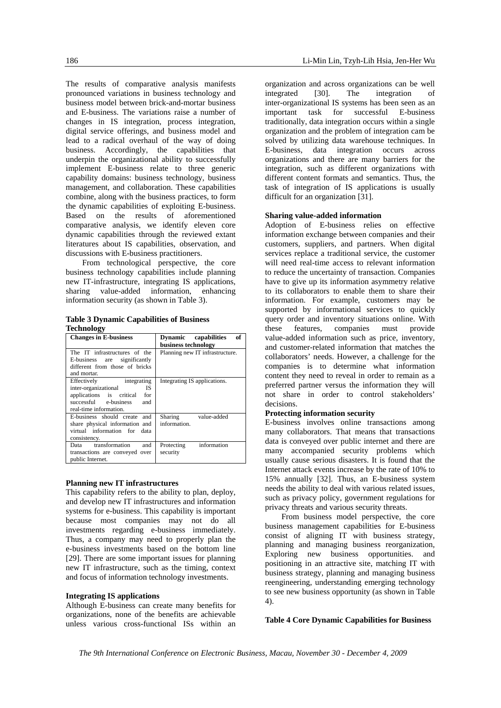The results of comparative analysis manifests pronounced variations in business technology and business model between brick-and-mortar business and E-business. The variations raise a number of changes in IS integration, process integration, digital service offerings, and business model and lead to a radical overhaul of the way of doing business. Accordingly, the capabilities that underpin the organizational ability to successfully implement E-business relate to three generic capability domains: business technology, business management, and collaboration. These capabilities combine, along with the business practices, to form the dynamic capabilities of exploiting E-business. Based on the results of aforementioned comparative analysis, we identify eleven core dynamic capabilities through the reviewed extant literatures about IS capabilities, observation, and discussions with E-business practitioners.

From technological perspective, the core business technology capabilities include planning new IT-infrastructure, integrating IS applications, sharing value-added information, enhancing information security (as shown in Table 3).

## **Table 3 Dynamic Capabilities of Business Technology**

| <b>Changes in E-business</b>                                                                                                                           | of<br>Dynamic capabilities<br>business technology |
|--------------------------------------------------------------------------------------------------------------------------------------------------------|---------------------------------------------------|
| The IT infrastructures of the<br>E-business are significantly<br>different from those of bricks<br>and mortar.                                         | Planning new IT infrastructure.                   |
| Effectively integrating<br>inter-organizational<br><b>IS</b><br>applications is critical for<br>successful e-business<br>and<br>real-time information. | Integrating IS applications.                      |
| E-business should create and<br>share physical information and<br>virtual information for data<br>consistency.                                         | Sharing value-added<br>information.               |
| Data transformation<br>and<br>transactions are conveyed over<br>public Internet.                                                                       | information<br>Protecting<br>security             |

# **Planning new IT infrastructures**

This capability refers to the ability to plan, deploy, and develop new IT infrastructures and information systems for e-business. This capability is important because most companies may not do all investments regarding e-business immediately. Thus, a company may need to properly plan the e-business investments based on the bottom line [29]. There are some important issues for planning new IT infrastructure, such as the timing, context and focus of information technology investments.

# **Integrating IS applications**

Although E-business can create many benefits for organizations, none of the benefits are achievable unless various cross-functional ISs within an

organization and across organizations can be well integrated [30]. The integration of inter-organizational IS systems has been seen as an important task for successful E-business traditionally, data integration occurs within a single organization and the problem of integration cam be solved by utilizing data warehouse techniques. In E-business, data integration occurs across organizations and there are many barriers for the integration, such as different organizations with different content formats and semantics. Thus, the task of integration of IS applications is usually difficult for an organization [31].

# **Sharing value-added information**

Adoption of E-business relies on effective information exchange between companies and their customers, suppliers, and partners. When digital services replace a traditional service, the customer will need real-time access to relevant information to reduce the uncertainty of transaction. Companies have to give up its information asymmetry relative to its collaborators to enable them to share their information. For example, customers may be supported by informational services to quickly query order and inventory situations online. With these features, companies must provide value-added information such as price, inventory, and customer-related information that matches the collaborators' needs. However, a challenge for the companies is to determine what information content they need to reveal in order to remain as a preferred partner versus the information they will not share in order to control stakeholders' decisions.

# **Protecting information security**

E-business involves online transactions among many collaborators. That means that transactions data is conveyed over public internet and there are many accompanied security problems which usually cause serious disasters. It is found that the Internet attack events increase by the rate of 10% to 15% annually [32]. Thus, an E-business system needs the ability to deal with various related issues, such as privacy policy, government regulations for privacy threats and various security threats.

From business model perspective, the core business management capabilities for E-business consist of aligning IT with business strategy, planning and managing business reorganization, Exploring new business opportunities. and positioning in an attractive site, matching IT with business strategy, planning and managing business reengineering, understanding emerging technology to see new business opportunity (as shown in Table 4).

# **Table 4 Core Dynamic Capabilities for Business**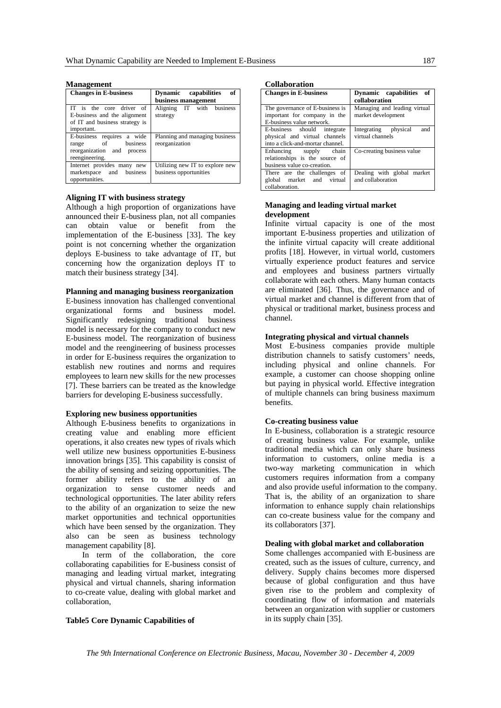| манаgешені                                                                                               |                                                           |
|----------------------------------------------------------------------------------------------------------|-----------------------------------------------------------|
| <b>Changes in E-business</b>                                                                             | of<br>Dynamic capabilities                                |
|                                                                                                          | business management                                       |
| IT is the core driver of<br>E-business and the alignment<br>of IT and business strategy is<br>important. | Aligning IT with business<br>strategy                     |
| E-business requires a wide<br>business<br>of<br>range<br>reorganization and process<br>reengineering.    | Planning and managing business<br>reorganization          |
| Internet provides many new<br>marketspace and business<br>opportunities.                                 | Utilizing new IT to explore new<br>business opportunities |

### **Management**

## **Aligning IT with business strategy**

Although a high proportion of organizations have announced their E-business plan, not all companies can obtain value or benefit from the implementation of the E-business [33]. The key point is not concerning whether the organization deploys E-business to take advantage of IT, but concerning how the organization deploys IT to match their business strategy [34].

#### **Planning and managing business reorganization**

E-business innovation has challenged conventional organizational forms and business model. Significantly redesigning traditional business model is necessary for the company to conduct new E-business model. The reorganization of business model and the reengineering of business processes in order for E-business requires the organization to establish new routines and norms and requires employees to learn new skills for the new processes [7]. These barriers can be treated as the knowledge barriers for developing E-business successfully.

#### **Exploring new business opportunities**

Although E-business benefits to organizations in creating value and enabling more efficient operations, it also creates new types of rivals which well utilize new business opportunities E-business innovation brings [35]. This capability is consist of the ability of sensing and seizing opportunities. The former ability refers to the ability of an organization to sense customer needs and technological opportunities. The later ability refers to the ability of an organization to seize the new market opportunities and technical opportunities which have been sensed by the organization. They also can be seen as business technology management capability [8].

In term of the collaboration, the core collaborating capabilities for E-business consist of managing and leading virtual market, integrating physical and virtual channels, sharing information to co-create value, dealing with global market and collaboration,

# **Table5 Core Dynamic Capabilities of**

**Collaboration** 

| <b>Changes in E-business</b>                                                                     | Dynamic capabilities of<br>collaboration           |
|--------------------------------------------------------------------------------------------------|----------------------------------------------------|
| The governance of E-business is<br>important for company in the<br>E-business value network.     | Managing and leading virtual<br>market development |
| E-business should integrate<br>physical and virtual channels<br>into a click-and-mortar channel. | Integrating physical<br>and<br>virtual channels    |
| Enhancing supply chain<br>relationships is the source of<br>business value co-creation.          | Co-creating business value                         |
| There are the challenges of<br>market and virtual<br>global<br>collaboration.                    | Dealing with global market<br>and collaboration    |

# **Managing and leading virtual market development**

Infinite virtual capacity is one of the most important E-business properties and utilization of the infinite virtual capacity will create additional profits [18]. However, in virtual world, customers virtually experience product features and service and employees and business partners virtually collaborate with each others. Many human contacts are eliminated [36]. Thus, the governance and of virtual market and channel is different from that of physical or traditional market, business process and channel.

## **Integrating physical and virtual channels**

Most E-business companies provide multiple distribution channels to satisfy customers' needs, including physical and online channels. For example, a customer can choose shopping online but paying in physical world. Effective integration of multiple channels can bring business maximum benefits.

#### **Co-creating business value**

In E-business, collaboration is a strategic resource of creating business value. For example, unlike traditional media which can only share business information to customers, online media is a two-way marketing communication in which customers requires information from a company and also provide useful information to the company. That is, the ability of an organization to share information to enhance supply chain relationships can co-create business value for the company and its collaborators [37].

# **Dealing with global market and collaboration**

Some challenges accompanied with E-business are created, such as the issues of culture, currency, and delivery. Supply chains becomes more dispersed because of global configuration and thus have given rise to the problem and complexity of coordinating flow of information and materials between an organization with supplier or customers in its supply chain [35].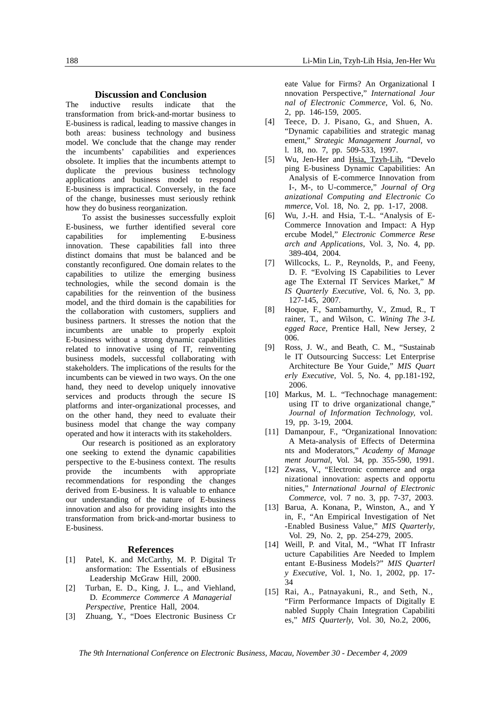## **Discussion and Conclusion**

The inductive results indicate that the transformation from brick-and-mortar business to E-business is radical, leading to massive changes in both areas: business technology and business model. We conclude that the change may render the incumbents' capabilities and experiences obsolete. It implies that the incumbents attempt to duplicate the previous business technology applications and business model to respond E-business is impractical. Conversely, in the face of the change, businesses must seriously rethink how they do business reorganization.

To assist the businesses successfully exploit E-business, we further identified several core capabilities for implementing E-business innovation. These capabilities fall into three distinct domains that must be balanced and be constantly reconfigured. One domain relates to the capabilities to utilize the emerging business technologies, while the second domain is the capabilities for the reinvention of the business model, and the third domain is the capabilities for the collaboration with customers, suppliers and business partners. It stresses the notion that the incumbents are unable to properly exploit E-business without a strong dynamic capabilities related to innovative using of IT, reinventing business models, successful collaborating with stakeholders. The implications of the results for the incumbents can be viewed in two ways. On the one hand, they need to develop uniquely innovative services and products through the secure IS platforms and inter-organizational processes, and on the other hand, they need to evaluate their business model that change the way company operated and how it interacts with its stakeholders.

Our research is positioned as an exploratory one seeking to extend the dynamic capabilities perspective to the E-business context. The results provide the incumbents with appropriate recommendations for responding the changes derived from E-business. It is valuable to enhance our understanding of the nature of E-business innovation and also for providing insights into the transformation from brick-and-mortar business to E-business.

#### **References**

- [1] Patel, K. and McCarthy, M. P. Digital Tr ansformation: The Essentials of eBusiness Leadership McGraw Hill, 2000.
- [2] Turban, E. D., King, J. L., and Viehland, D. *Ecommerce Commerce A Managerial Perspective,* Prentice Hall, 2004.
- [3] Zhuang, Y., "Does Electronic Business Cr

eate Value for Firms? An Organizational I nnovation Perspective," *International Jour nal of Electronic Commerce*, Vol. 6, No. 2, pp. 146-159, 2005.

- [4] Teece, D. J. Pisano, G., and Shuen, A. "Dynamic capabilities and strategic manag ement," *Strategic Management Journal*, vo l. 18, no. 7, pp. 509-533, 1997.
- [5] Wu, Jen-Her and Hsia, Tzyh-Lih, "Develo ping E-business Dynamic Capabilities: An Analysis of E-commerce Innovation from I-, M-, to U-commerce," *Journal of Org anizational Computing and Electronic Co mmerce*, Vol. 18, No. 2, pp. 1-17, 2008.
- [6] Wu, J.-H. and Hsia, T.-L. "Analysis of E-Commerce Innovation and Impact: A Hyp ercube Model," *Electronic Commerce Rese arch and Applications*, Vol. 3, No. 4, pp. 389-404, 2004.
- [7] Willcocks, L. P., Reynolds, P., and Feeny, D. F. "Evolving IS Capabilities to Lever age The External IT Services Market," *M IS Quarterly Executive,* Vol. 6, No. 3, pp. 127-145, 2007.
- [8] Hoque, F., Sambamurthy, V., Zmud, R., T rainer, T., and Wilson, C. *Wining The 3-L egged Race,* Prentice Hall, New Jersey, 2 006.
- [9] Ross, J. W., and Beath, C. M., "Sustainab le IT Outsourcing Success: Let Enterprise Architecture Be Your Guide," *MIS Quart erly Executive,* Vol. 5, No. 4, pp.181-192, 2006.
- [10] Markus, M. L. "Technochage management: using IT to drive organizational change," *Journal of Information Technology,* vol. 19, pp. 3-19, 2004.
- [11] Damanpour, F., "Organizational Innovation: A Meta-analysis of Effects of Determina nts and Moderators," *Academy of Manage ment Journal*, Vol. 34, pp. 355-590, 1991.
- [12] Zwass, V., "Electronic commerce and orga nizational innovation: aspects and opportu nities," *International Journal of Electronic Commerce*, vol. 7 no. 3, pp. 7-37, 2003.
- [13] Barua, A. Konana, P., Winston, A., and Y in, F., "An Empirical Investigation of Net -Enabled Business Value," *MIS Quarterly*, Vol. 29, No. 2, pp. 254-279, 2005.
- [14] Weill, P. and Vital, M., "What IT Infrastr ucture Capabilities Are Needed to Implem entant E-Business Models?" *MIS Quarterl y Executive*, Vol. 1, No. 1, 2002, pp. 17- 34
- [15] Rai, A., Patnayakuni, R., and Seth, N., "Firm Performance Impacts of Digitally E nabled Supply Chain Integration Capabiliti es," *MIS Quarterly,* Vol. 30, No.2, 2006,